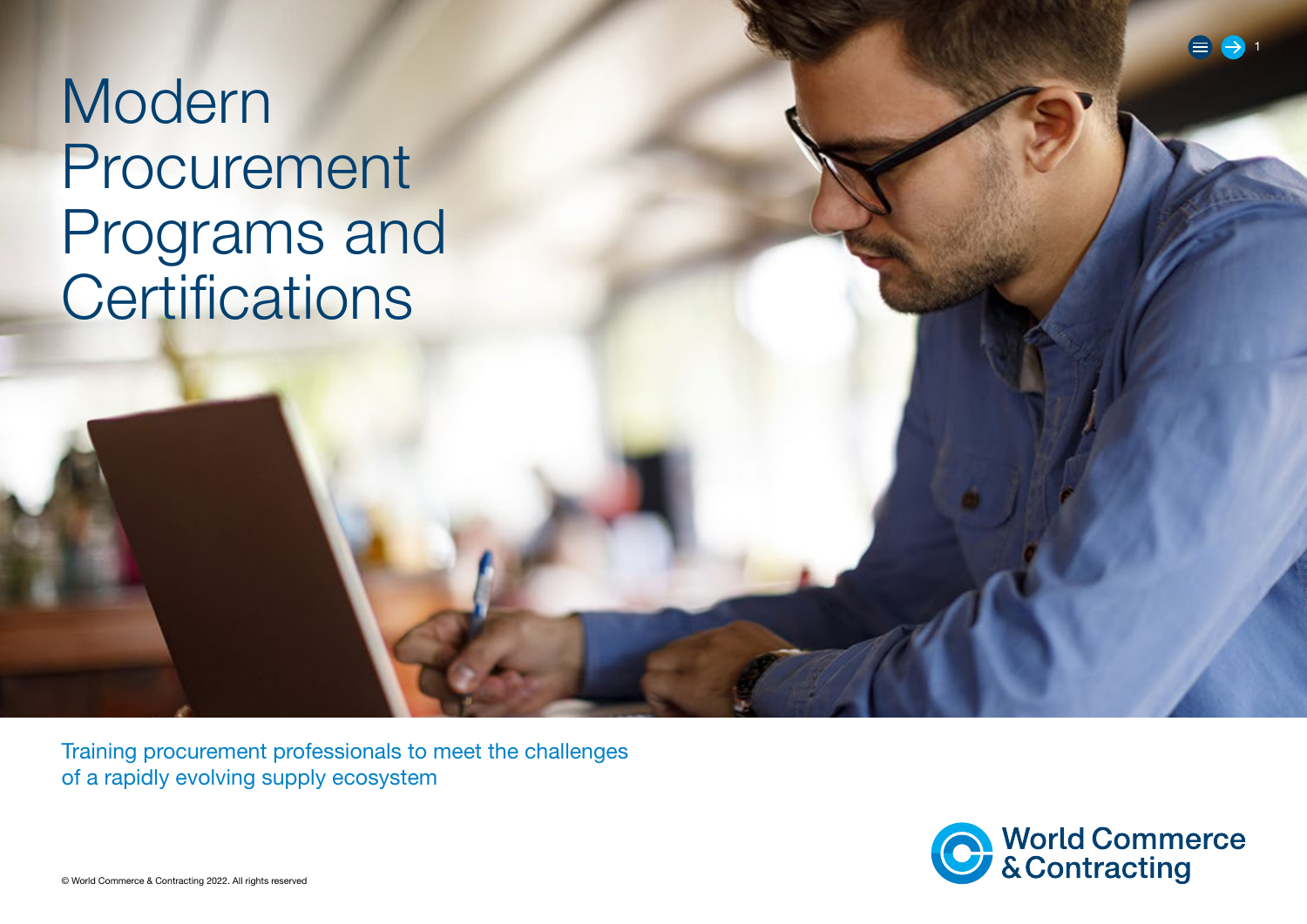Modern Procurement Programs and **Certifications** 

Training procurement professionals to meet the challenges of a rapidly evolving supply ecosystem

1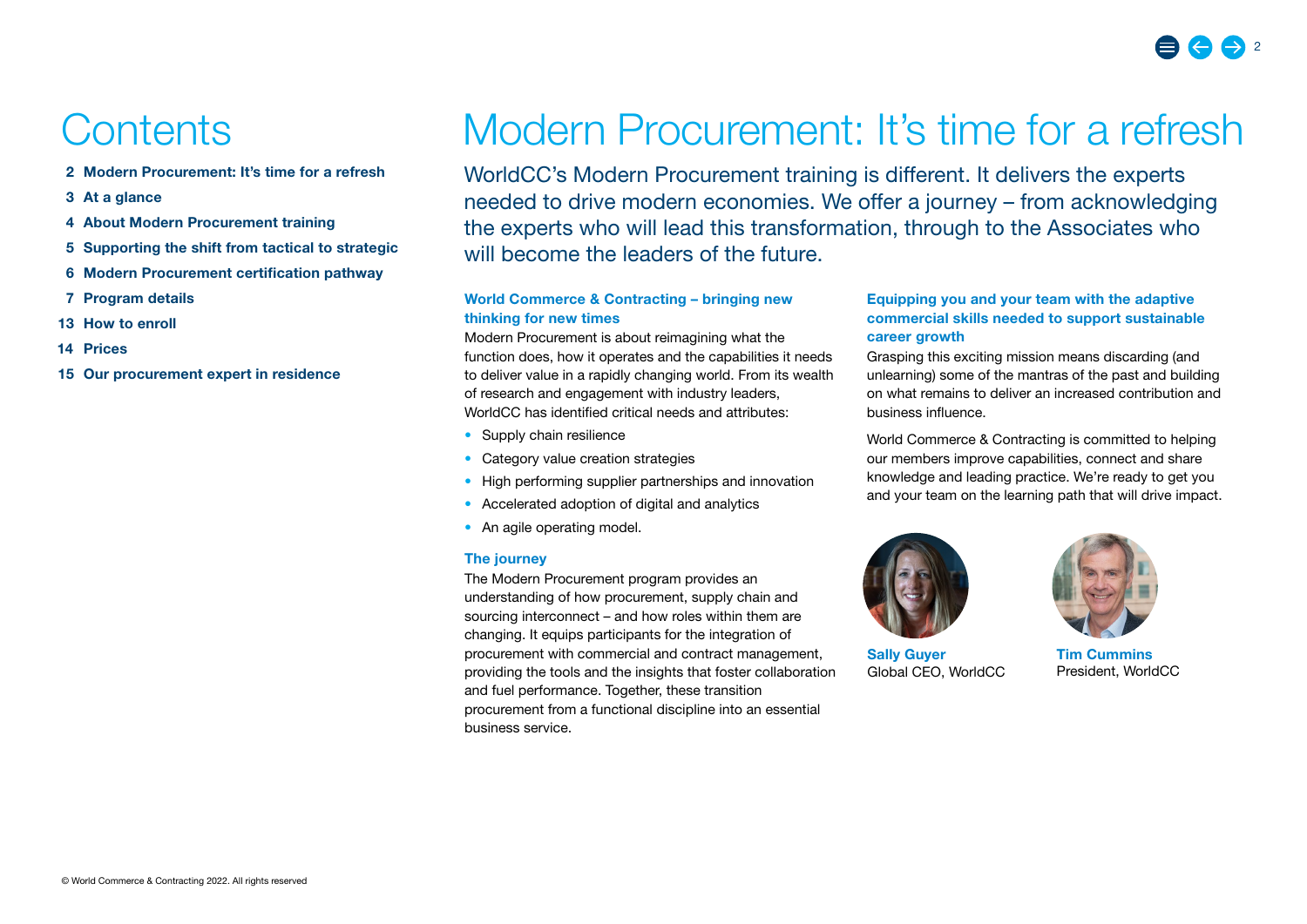## **Contents**

- 2 Modern Procurement: It's time for a refresh
- 3 At a glance
- 4 [About Modern Procurement training](#page-3-0)
- 5 [Supporting the shift from tactical to strategic](#page-4-0)
- 6 [Modern Procurement certification pathway](#page-5-0)
- 7 [Program details](#page-6-0)
- 13 [How to enroll](#page-12-0)
- [14 Prices](#page-13-0)
- 15 [Our procurement expert in residence](#page-14-0)

## Modern Procurement: It's time for a refresh

WorldCC's Modern Procurement training is different. It delivers the experts needed to drive modern economies. We offer a journey – from acknowledging the experts who will lead this transformation, through to the Associates who will become the leaders of the future.

#### World Commerce & Contracting – bringing new thinking for new times

Modern Procurement is about reimagining what the function does, how it operates and the capabilities it needs to deliver value in a rapidly changing world. From its wealth of research and engagement with industry leaders, WorldCC has identified critical needs and attributes:

- Supply chain resilience
- Category value creation strategies
- High performing supplier partnerships and innovation
- Accelerated adoption of digital and analytics
- An agile operating model.

#### The journey

The Modern Procurement program provides an understanding of how procurement, supply chain and sourcing interconnect – and how roles within them are changing. It equips participants for the integration of procurement with commercial and contract management, providing the tools and the insights that foster collaboration and fuel performance. Together, these transition procurement from a functional discipline into an essential business service.

#### Equipping you and your team with the adaptive commercial skills needed to support sustainable career growth

Grasping this exciting mission means discarding (and unlearning) some of the mantras of the past and building on what remains to deliver an increased contribution and business influence.

World Commerce & Contracting is committed to helping our members improve capabilities, connect and share knowledge and leading practice. We're ready to get you and your team on the learning path that will drive impact.



Sally Guyer Global CEO, WorldCC



Tim Cummins President, WorldCC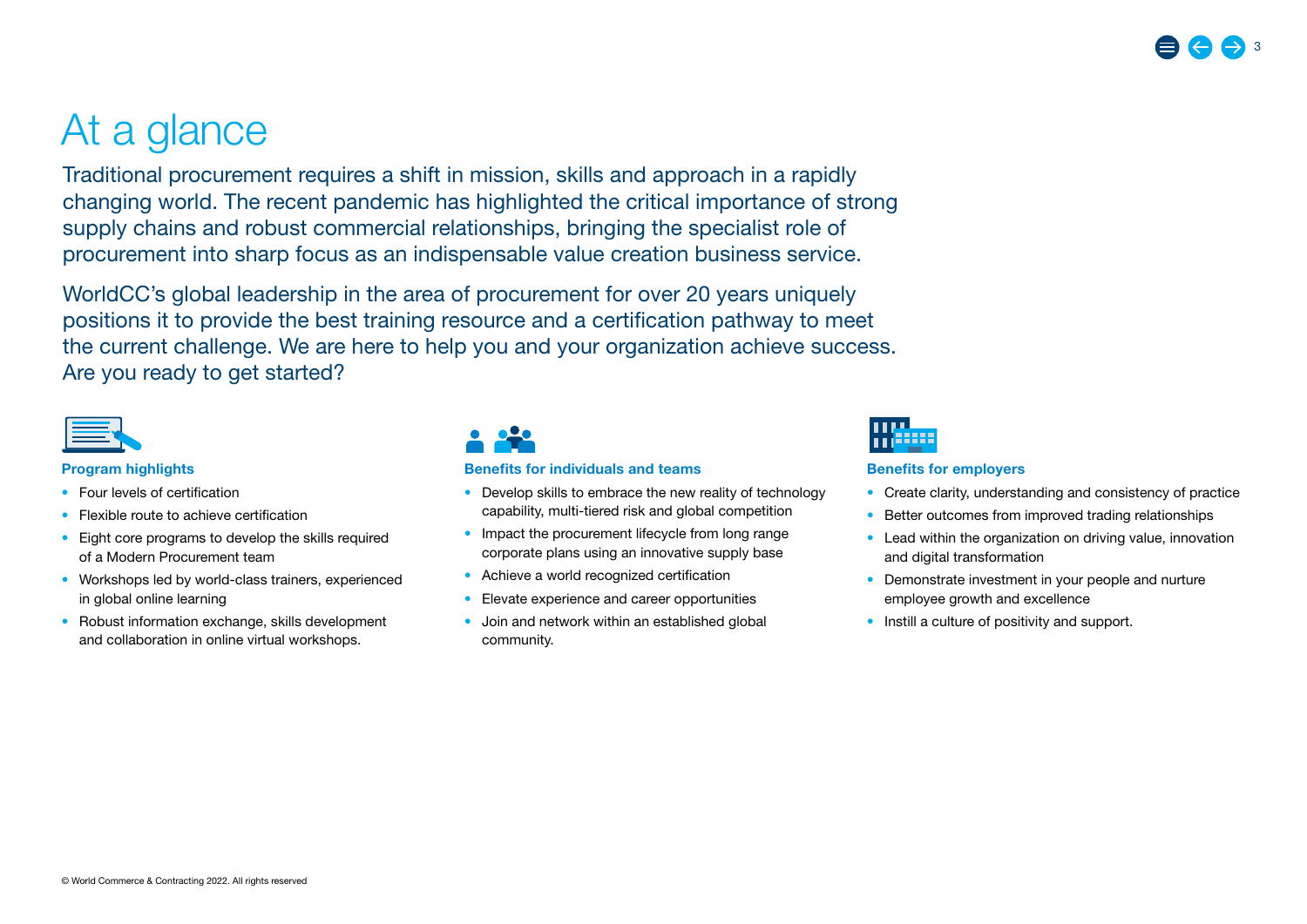## At a glance

Traditional procurement requires a shift in mission, skills and approach in a rapidly changing world. The recent pandemic has highlighted the critical importance of strong supply chains and robust commercial relationships, bringing the specialist role of procurement into sharp focus as an indispensable value creation business service.

WorldCC's global leadership in the area of procurement for over 20 years uniquely positions it to provide the best training resource and a certification pathway to meet the current challenge. We are here to help you and your organization achieve success. Are you ready to get started?



#### Program highlights

- Four levels of certification
- Flexible route to achieve certification
- Eight core programs to develop the skills required of a Modern Procurement team
- Workshops led by world-class trainers, experienced in global online learning
- Robust information exchange, skills development and collaboration in online virtual workshops.



#### Benefits for individuals and teams

- Develop skills to embrace the new reality of technology capability, multi-tiered risk and global competition
- Impact the procurement lifecycle from long range corporate plans using an innovative supply base
- Achieve a world recognized certification
- Elevate experience and career opportunities
- Join and network within an established global community.



#### Benefits for employers

- Create clarity, understanding and consistency of practice
- Better outcomes from improved trading relationships
- Lead within the organization on driving value, innovation and digital transformation
- Demonstrate investment in your people and nurture employee growth and excellence
- Instill a culture of positivity and support.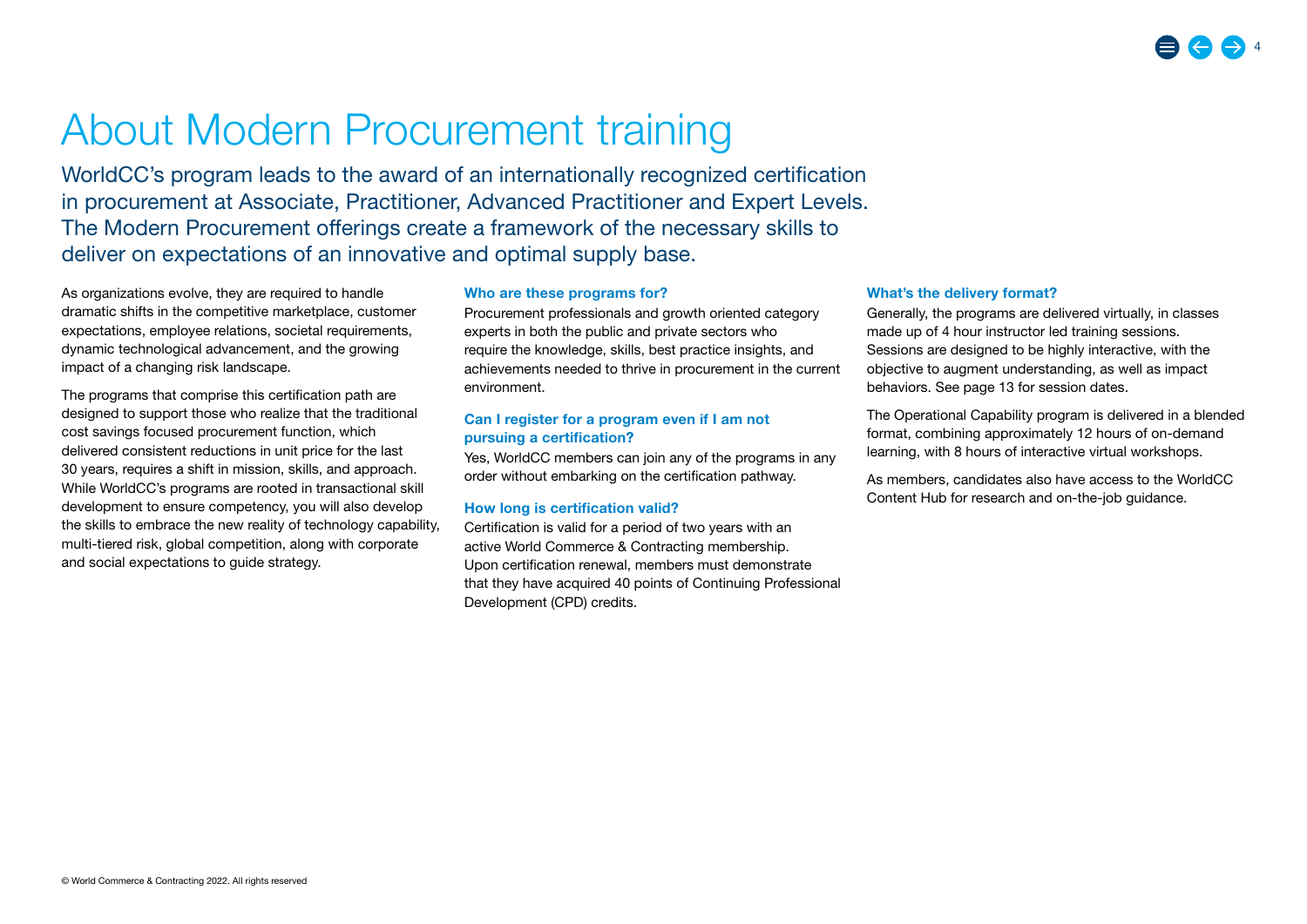## <span id="page-3-0"></span>About Modern Procurement training

WorldCC's program leads to the award of an internationally recognized certification in procurement at Associate, Practitioner, Advanced Practitioner and Expert Levels. The Modern Procurement offerings create a framework of the necessary skills to deliver on expectations of an innovative and optimal supply base.

As organizations evolve, they are required to handle dramatic shifts in the competitive marketplace, customer expectations, employee relations, societal requirements, dynamic technological advancement, and the growing impact of a changing risk landscape.

The programs that comprise this certification path are designed to support those who realize that the traditional cost savings focused procurement function, which delivered consistent reductions in unit price for the last 30 years, requires a shift in mission, skills, and approach. While WorldCC's programs are rooted in transactional skill development to ensure competency, you will also develop the skills to embrace the new reality of technology capability, multi-tiered risk, global competition, along with corporate and social expectations to guide strategy.

#### Who are these programs for?

Procurement professionals and growth oriented category experts in both the public and private sectors who require the knowledge, skills, best practice insights, and achievements needed to thrive in procurement in the current environment.

#### Can I register for a program even if I am not pursuing a certification?

Yes, WorldCC members can join any of the programs in any order without embarking on the certification pathway.

#### How long is certification valid?

Certification is valid for a period of two years with an active World Commerce & Contracting membership. Upon certification renewal, members must demonstrate that they have acquired 40 points of Continuing Professional Development (CPD) credits.

#### What's the delivery format?

Generally, the programs are delivered virtually, in classes made up of 4 hour instructor led training sessions. Sessions are designed to be highly interactive, with the objective to augment understanding, as well as impact behaviors. See page 13 for session dates.

The Operational Capability program is delivered in a blended format, combining approximately 12 hours of on-demand learning, with 8 hours of interactive virtual workshops.

As members, candidates also have access to the WorldCC Content Hub for research and on-the-job guidance.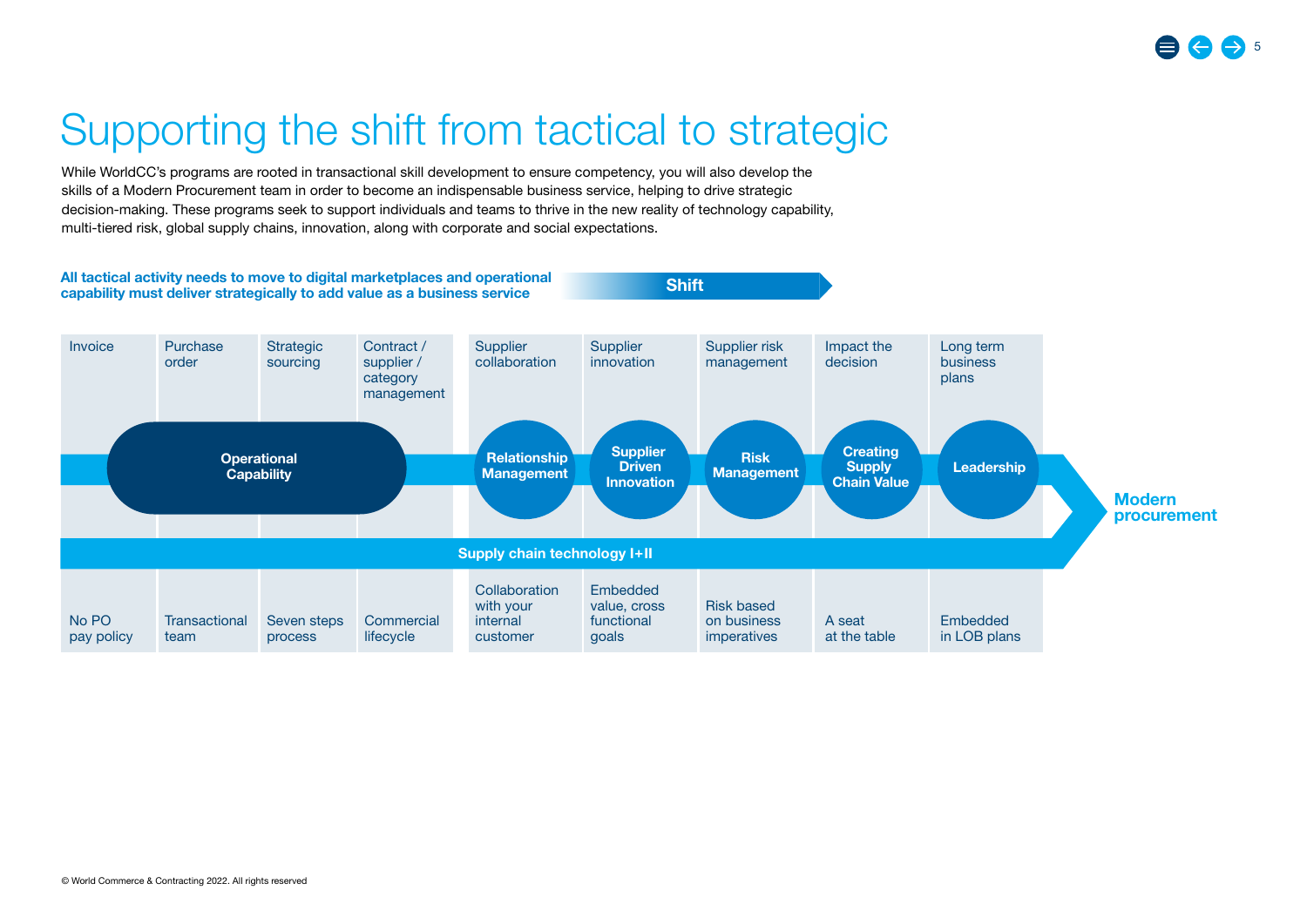## <span id="page-4-0"></span>Supporting the shift from tactical to strategic

While WorldCC's programs are rooted in transactional skill development to ensure competency, you will also develop the skills of a Modern Procurement team in order to become an indispensable business service, helping to drive strategic decision-making. These programs seek to support individuals and teams to thrive in the new reality of technology capability, multi-tiered risk, global supply chains, innovation, along with corporate and social expectations.

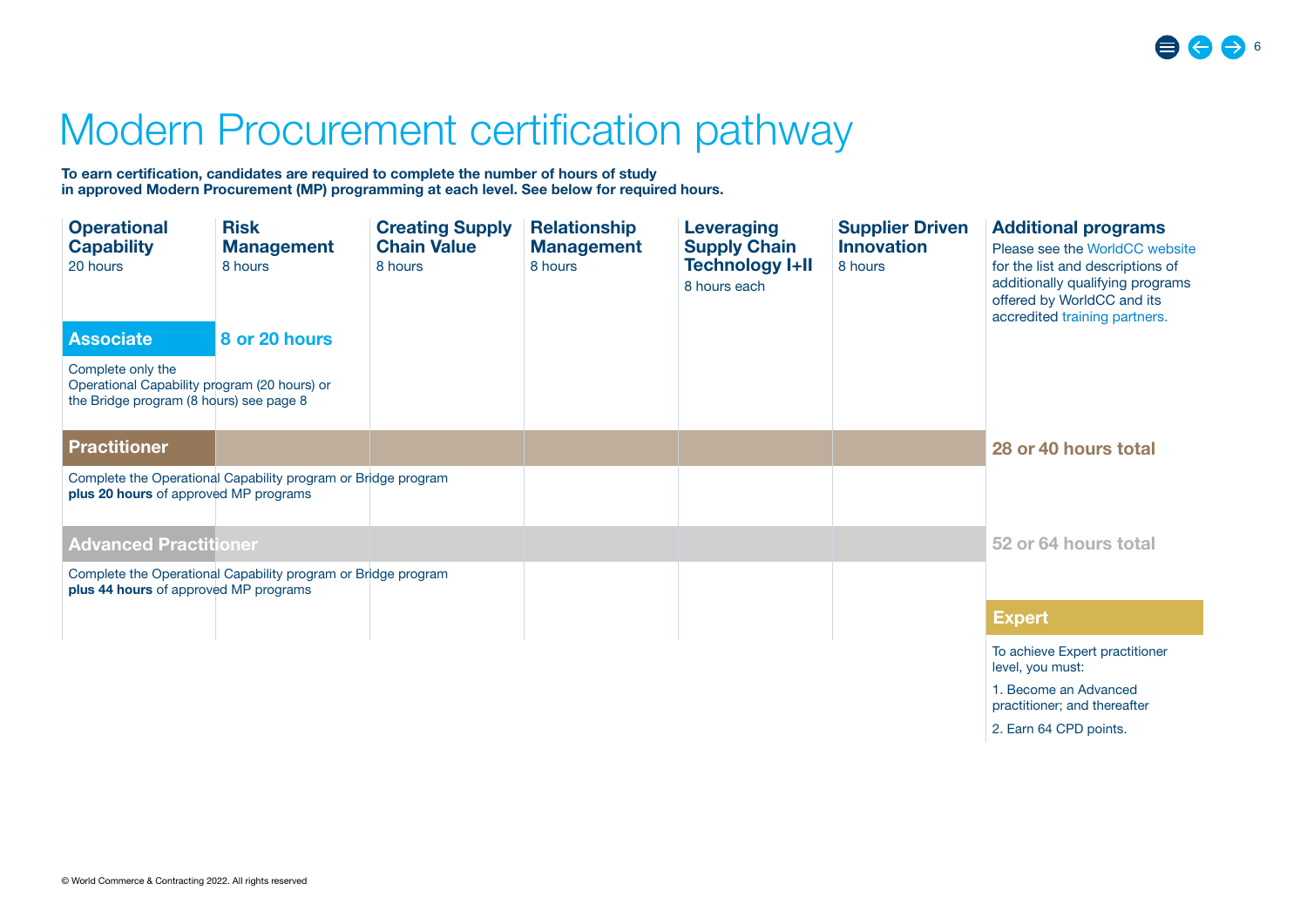2. Earn 64 CPD points.

## <span id="page-5-0"></span>Modern Procurement certification pathway

To earn certification, candidates are required to complete the number of hours of study in approved Modern Procurement (MP) programming at each level. See below for required hours.

| <b>Operational</b><br><b>Capability</b><br>20 hours                                                          | <b>Risk</b><br><b>Management</b><br>8 hours                   | <b>Creating Supply</b><br><b>Chain Value</b><br>8 hours | <b>Relationship</b><br><b>Management</b><br>8 hours | Leveraging<br><b>Supply Chain</b><br><b>Technology I+II</b><br>8 hours each | <b>Supplier Driven</b><br><b>Innovation</b><br>8 hours | <b>Additional programs</b><br>Please see the WorldCC website<br>for the list and descriptions of<br>additionally qualifying programs<br>offered by WorldCC and its<br>accredited training partners. |
|--------------------------------------------------------------------------------------------------------------|---------------------------------------------------------------|---------------------------------------------------------|-----------------------------------------------------|-----------------------------------------------------------------------------|--------------------------------------------------------|-----------------------------------------------------------------------------------------------------------------------------------------------------------------------------------------------------|
| <b>Associate</b>                                                                                             | 8 or 20 hours                                                 |                                                         |                                                     |                                                                             |                                                        |                                                                                                                                                                                                     |
| Complete only the<br>Operational Capability program (20 hours) or<br>the Bridge program (8 hours) see page 8 |                                                               |                                                         |                                                     |                                                                             |                                                        |                                                                                                                                                                                                     |
| <b>Practitioner</b>                                                                                          |                                                               |                                                         |                                                     |                                                                             |                                                        | 28 or 40 hours total                                                                                                                                                                                |
| plus 20 hours of approved MP programs                                                                        | Complete the Operational Capability program or Bridge program |                                                         |                                                     |                                                                             |                                                        |                                                                                                                                                                                                     |
| <b>Advanced Practitioner</b>                                                                                 |                                                               |                                                         |                                                     |                                                                             |                                                        | 52 or 64 hours total                                                                                                                                                                                |
| plus 44 hours of approved MP programs                                                                        | Complete the Operational Capability program or Bridge program |                                                         |                                                     |                                                                             |                                                        |                                                                                                                                                                                                     |
|                                                                                                              |                                                               |                                                         |                                                     |                                                                             |                                                        | <b>Expert</b>                                                                                                                                                                                       |
|                                                                                                              |                                                               |                                                         |                                                     |                                                                             |                                                        | To achieve Expert practitioner<br>level, you must:                                                                                                                                                  |
|                                                                                                              |                                                               |                                                         |                                                     |                                                                             |                                                        | 1. Become an Advanced<br>practitioner; and thereafter                                                                                                                                               |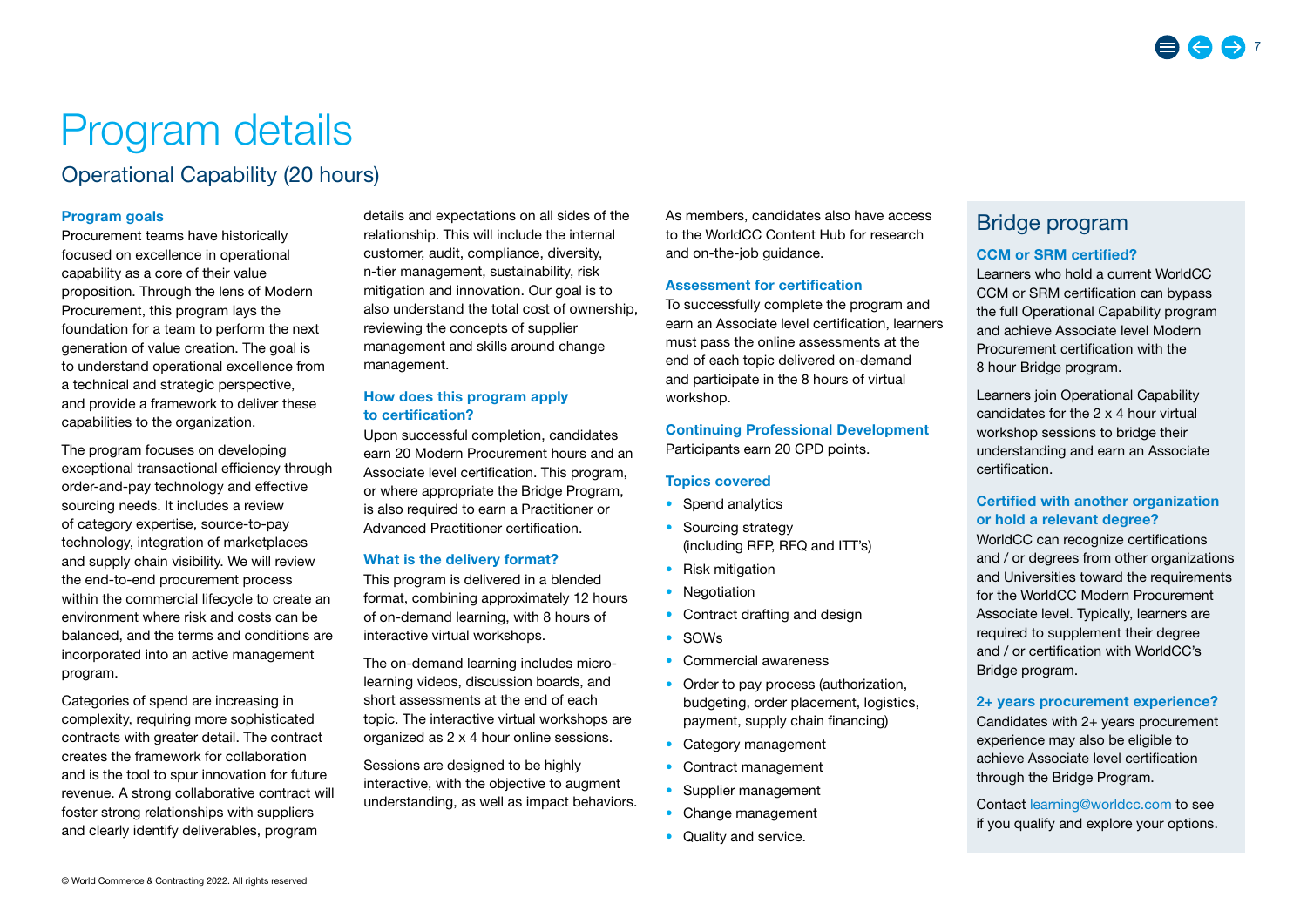# <span id="page-6-0"></span>Program details

## Operational Capability (20 hours)

#### Program goals

Procurement teams have historically focused on excellence in operational capability as a core of their value proposition. Through the lens of Modern Procurement, this program lays the foundation for a team to perform the next generation of value creation. The goal is to understand operational excellence from a technical and strategic perspective, and provide a framework to deliver these capabilities to the organization.

The program focuses on developing exceptional transactional efficiency through order-and-pay technology and effective sourcing needs. It includes a review of category expertise, source-to-pay technology, integration of marketplaces and supply chain visibility. We will review the end-to-end procurement process within the commercial lifecycle to create an environment where risk and costs can be balanced, and the terms and conditions are incorporated into an active management program.

Categories of spend are increasing in complexity, requiring more sophisticated contracts with greater detail. The contract creates the framework for collaboration and is the tool to spur innovation for future revenue. A strong collaborative contract will foster strong relationships with suppliers and clearly identify deliverables, program

details and expectations on all sides of the relationship. This will include the internal customer, audit, compliance, diversity, n-tier management, sustainability, risk mitigation and innovation. Our goal is to also understand the total cost of ownership, reviewing the concepts of supplier management and skills around change management.

#### How does this program apply to certification?

Upon successful completion, candidates earn 20 Modern Procurement hours and an Associate level certification. This program, or where appropriate the Bridge Program, is also required to earn a Practitioner or Advanced Practitioner certification.

#### What is the delivery format?

This program is delivered in a blended format, combining approximately 12 hours of on-demand learning, with 8 hours of interactive virtual workshops.

The on-demand learning includes microlearning videos, discussion boards, and short assessments at the end of each topic. The interactive virtual workshops are organized as 2 x 4 hour online sessions.

Sessions are designed to be highly interactive, with the objective to augment understanding, as well as impact behaviors. As members, candidates also have access to the WorldCC Content Hub for research and on-the-job guidance.

#### Assessment for certification

To successfully complete the program and earn an Associate level certification, learners must pass the online assessments at the end of each topic delivered on-demand and participate in the 8 hours of virtual workshop.

Continuing Professional Development Participants earn 20 CPD points.

#### Topics covered

- Spend analytics
- Sourcing strategy (including RFP, RFQ and ITT's)
- Risk mitigation
- Negotiation
- Contract drafting and design
- SOWs
- Commercial awareness
- Order to pay process (authorization, budgeting, order placement, logistics, payment, supply chain financing)
- Category management
- Contract management
- Supplier management
- Change management
- Quality and service.

## Bridge program

#### CCM or SRM certified?

Learners who hold a current WorldCC CCM or SRM certification can bypass the full Operational Capability program and achieve Associate level Modern Procurement certification with the 8 hour Bridge program.

Learners join Operational Capability candidates for the 2 x 4 hour virtual workshop sessions to bridge their understanding and earn an Associate certification.

#### Certified with another organization or hold a relevant degree?

WorldCC can recognize certifications and / or degrees from other organizations and Universities toward the requirements for the WorldCC Modern Procurement Associate level. Typically, learners are required to supplement their degree and / or certification with WorldCC's Bridge program.

#### 2+ years procurement experience?

Candidates with 2+ years procurement experience may also be eligible to achieve Associate level certification through the Bridge Program.

Contact learning@worldcc.com to see if you qualify and explore your options.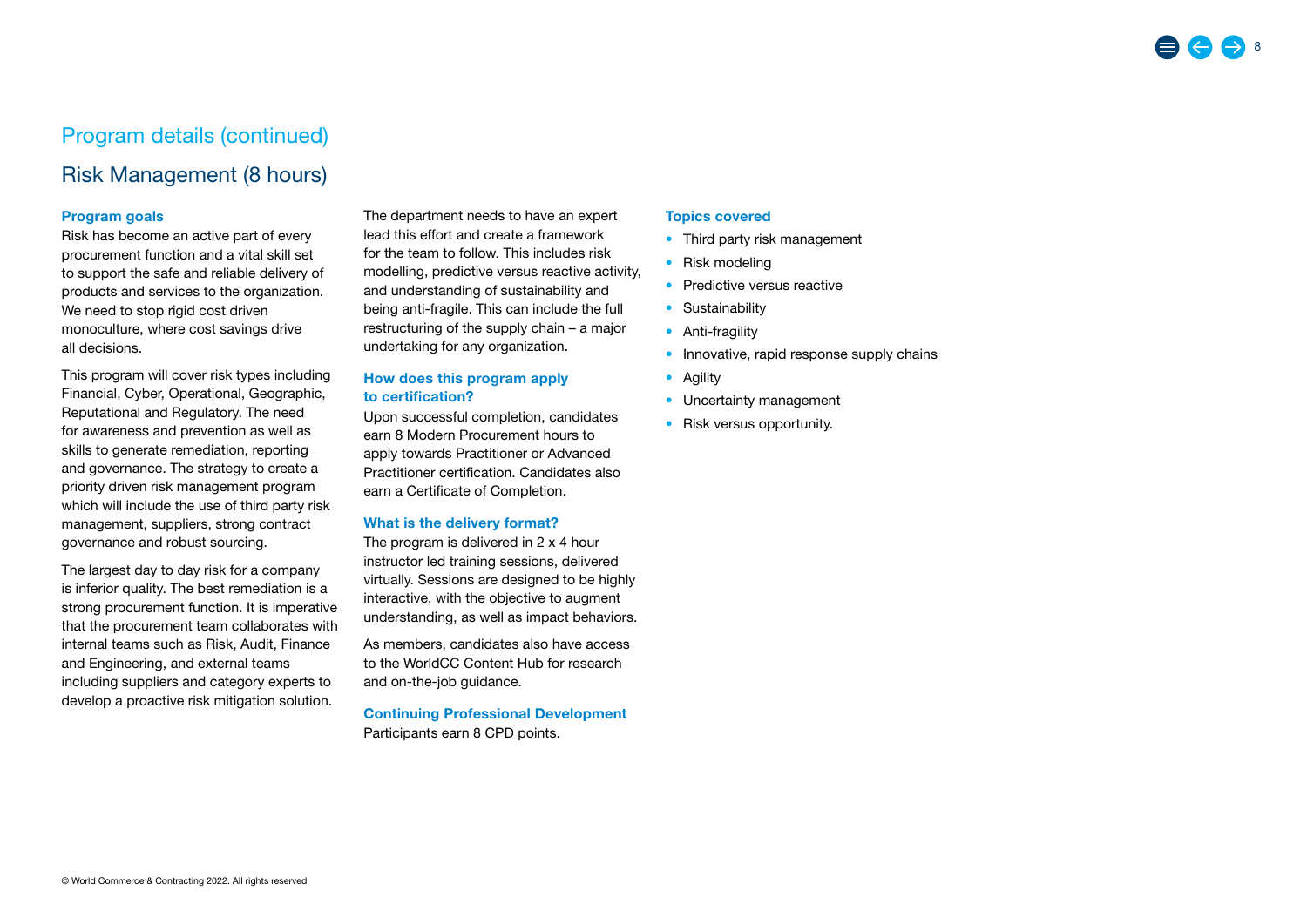## Risk Management (8 hours)

#### Program goals

Risk has become an active part of every procurement function and a vital skill set to support the safe and reliable delivery of products and services to the organization. We need to stop rigid cost driven monoculture, where cost savings drive all decisions.

This program will cover risk types including Financial, Cyber, Operational, Geographic, Reputational and Regulatory. The need for awareness and prevention as well as skills to generate remediation, reporting and governance. The strategy to create a priority driven risk management program which will include the use of third party risk management, suppliers, strong contract governance and robust sourcing.

The largest day to day risk for a company is inferior quality. The best remediation is a strong procurement function. It is imperative that the procurement team collaborates with internal teams such as Risk, Audit, Finance and Engineering, and external teams including suppliers and category experts to develop a proactive risk mitigation solution.

The department needs to have an expert lead this effort and create a framework for the team to follow. This includes risk modelling, predictive versus reactive activity, and understanding of sustainability and being anti-fragile. This can include the full restructuring of the supply chain – a major undertaking for any organization.

#### How does this program apply to certification?

Upon successful completion, candidates earn 8 Modern Procurement hours to apply towards Practitioner or Advanced Practitioner certification. Candidates also earn a Certificate of Completion.

#### What is the delivery format?

The program is delivered in 2 x 4 hour instructor led training sessions, delivered virtually. Sessions are designed to be highly interactive, with the objective to augment understanding, as well as impact behaviors.

As members, candidates also have access to the WorldCC Content Hub for research and on-the-job guidance.

Continuing Professional Development Participants earn 8 CPD points.

#### Topics covered

- Third party risk management
- Risk modeling
- Predictive versus reactive
- Sustainability
- Anti-fragility
- Innovative, rapid response supply chains
- Agility
- Uncertainty management
- Risk versus opportunity.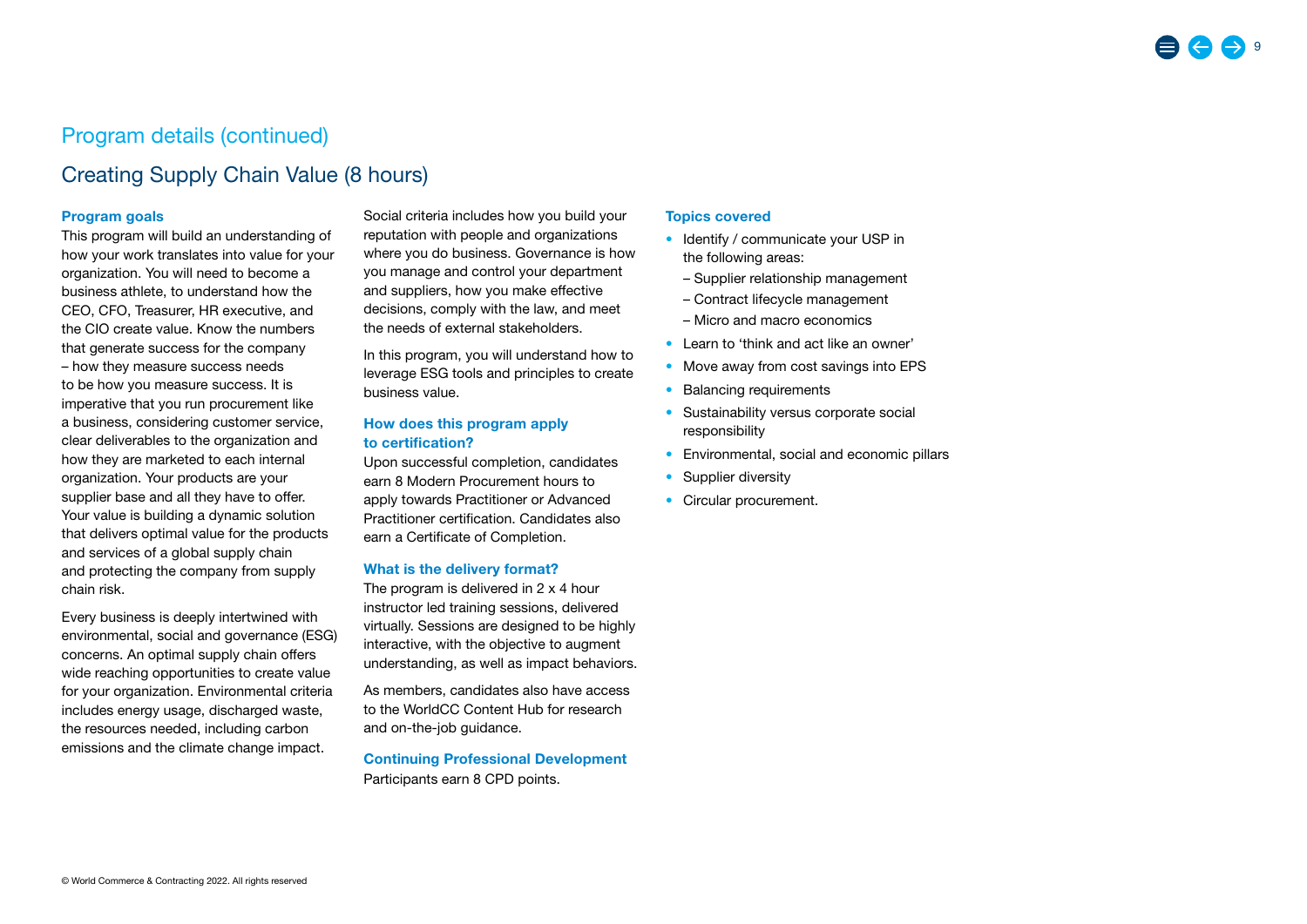## Creating Supply Chain Value (8 hours)

#### Program goals

This program will build an understanding of how your work translates into value for your organization. You will need to become a business athlete, to understand how the CEO, CFO, Treasurer, HR executive, and the CIO create value. Know the numbers that generate success for the company – how they measure success needs to be how you measure success. It is imperative that you run procurement like a business, considering customer service, clear deliverables to the organization and how they are marketed to each internal organization. Your products are your supplier base and all they have to offer. Your value is building a dynamic solution that delivers optimal value for the products and services of a global supply chain and protecting the company from supply chain risk.

Every business is deeply intertwined with environmental, social and governance (ESG) concerns. An optimal supply chain offers wide reaching opportunities to create value for your organization. Environmental criteria includes energy usage, discharged waste, the resources needed, including carbon emissions and the climate change impact.

Social criteria includes how you build your reputation with people and organizations where you do business. Governance is how you manage and control your department and suppliers, how you make effective decisions, comply with the law, and meet the needs of external stakeholders.

In this program, you will understand how to leverage ESG tools and principles to create business value.

#### How does this program apply to certification?

Upon successful completion, candidates earn 8 Modern Procurement hours to apply towards Practitioner or Advanced Practitioner certification. Candidates also earn a Certificate of Completion.

#### What is the delivery format?

The program is delivered in 2 x 4 hour instructor led training sessions, delivered virtually. Sessions are designed to be highly interactive, with the objective to augment understanding, as well as impact behaviors.

As members, candidates also have access to the WorldCC Content Hub for research and on-the-job guidance.

Continuing Professional Development Participants earn 8 CPD points.

#### Topics covered

- Identify / communicate your USP in the following areas:
	- Supplier relationship management
	- Contract lifecycle management
	- Micro and macro economics
- Learn to 'think and act like an owner'
- Move away from cost savings into EPS
- Balancing requirements
- Sustainability versus corporate social responsibility
- Environmental, social and economic pillars
- Supplier diversity
- Circular procurement.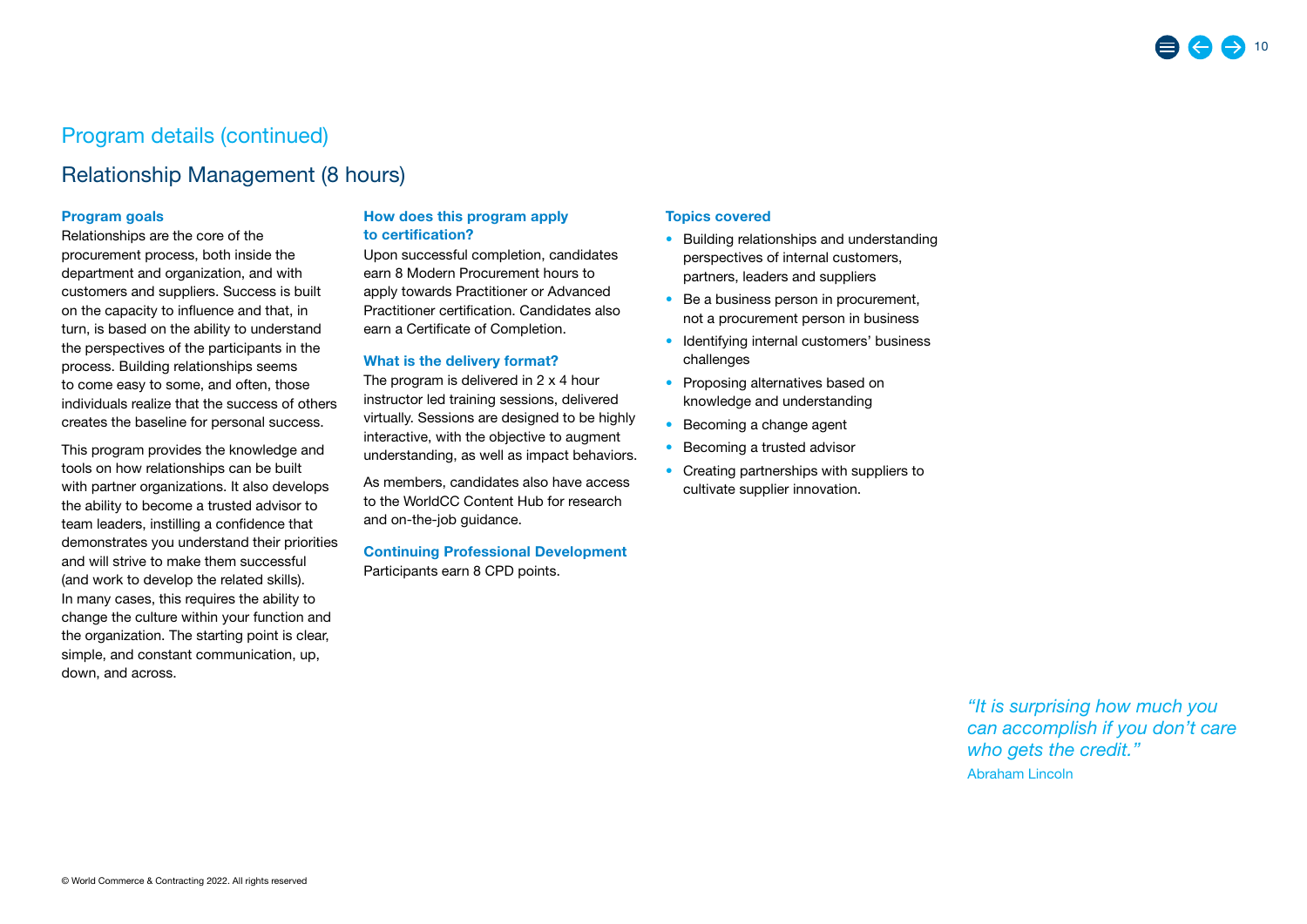## Relationship Management (8 hours)

#### Program goals

Relationships are the core of the procurement process, both inside the department and organization, and with customers and suppliers. Success is built on the capacity to influence and that, in turn, is based on the ability to understand the perspectives of the participants in the process. Building relationships seems to come easy to some, and often, those individuals realize that the success of others creates the baseline for personal success.

This program provides the knowledge and tools on how relationships can be built with partner organizations. It also develops the ability to become a trusted advisor to team leaders, instilling a confidence that demonstrates you understand their priorities and will strive to make them successful (and work to develop the related skills). In many cases, this requires the ability to change the culture within your function and the organization. The starting point is clear, simple, and constant communication, up, down, and across.

#### How does this program apply to certification?

Upon successful completion, candidates earn 8 Modern Procurement hours to apply towards Practitioner or Advanced Practitioner certification. Candidates also earn a Certificate of Completion.

#### What is the delivery format?

The program is delivered in 2 x 4 hour instructor led training sessions, delivered virtually. Sessions are designed to be highly interactive, with the objective to augment understanding, as well as impact behaviors.

As members, candidates also have access to the WorldCC Content Hub for research and on-the-job guidance.

Continuing Professional Development Participants earn 8 CPD points.

#### Topics covered

- Building relationships and understanding perspectives of internal customers, partners, leaders and suppliers
- Be a business person in procurement, not a procurement person in business
- Identifying internal customers' business challenges
- Proposing alternatives based on knowledge and understanding
- Becoming a change agent
- Becoming a trusted advisor
- Creating partnerships with suppliers to cultivate supplier innovation.

*"It is surprising how much you can accomplish if you don't care who gets the credit."*  Abraham Lincoln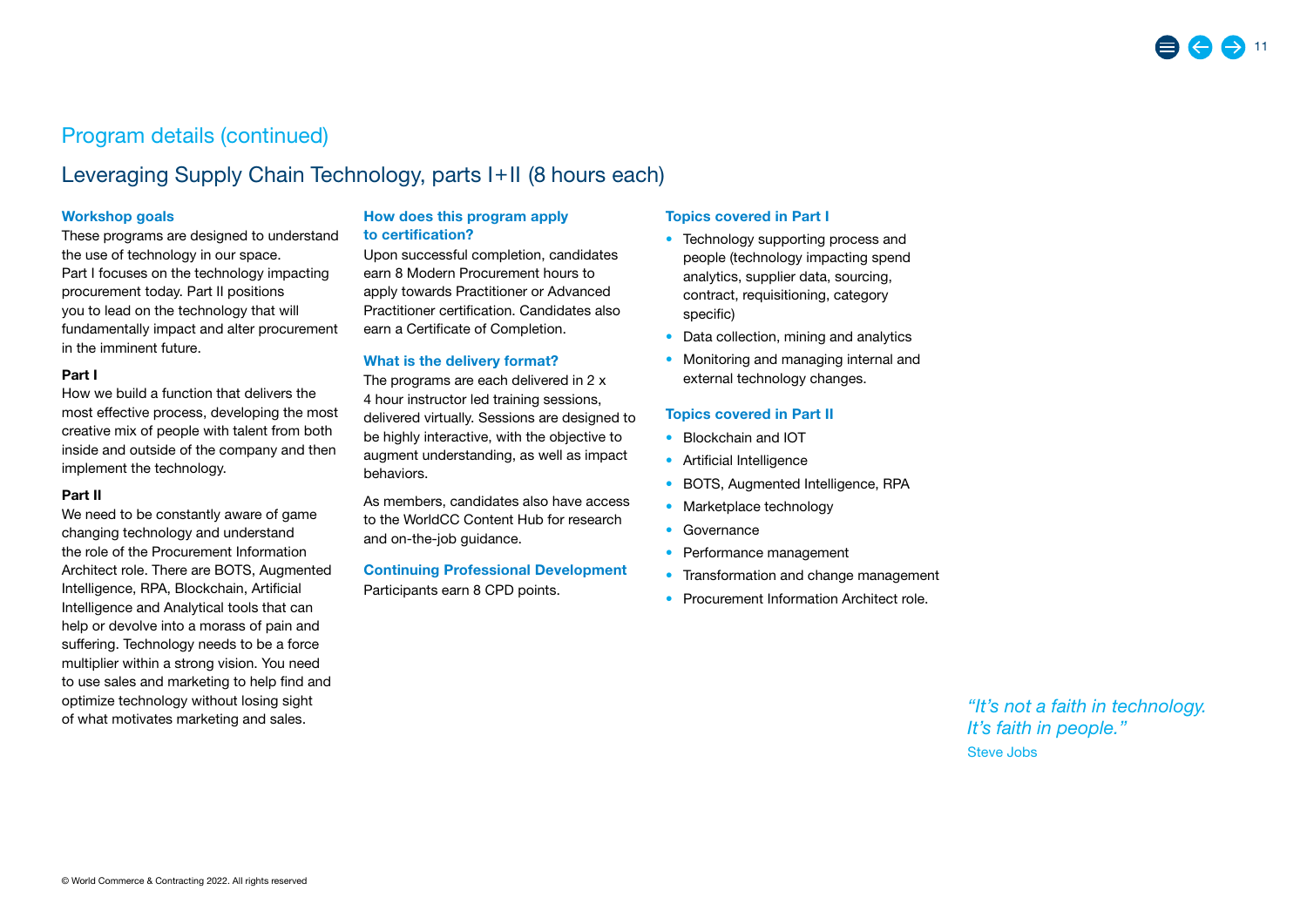## Leveraging Supply Chain Technology, parts I+II (8 hours each)

#### Workshop goals

These programs are designed to understand the use of technology in our space. Part I focuses on the technology impacting procurement today. Part II positions you to lead on the technology that will fundamentally impact and alter procurement in the imminent future.

#### Part I

How we build a function that delivers the most effective process, developing the most creative mix of people with talent from both inside and outside of the company and then implement the technology.

#### Part II

We need to be constantly aware of game changing technology and understand the role of the Procurement Information Architect role. There are BOTS, Augmented Intelligence, RPA, Blockchain, Artificial Intelligence and Analytical tools that can help or devolve into a morass of pain and suffering. Technology needs to be a force multiplier within a strong vision. You need to use sales and marketing to help find and optimize technology without losing sight of what motivates marketing and sales.

#### How does this program apply to certification?

Upon successful completion, candidates earn 8 Modern Procurement hours to apply towards Practitioner or Advanced Practitioner certification. Candidates also earn a Certificate of Completion.

#### What is the delivery format?

The programs are each delivered in 2 x 4 hour instructor led training sessions, delivered virtually. Sessions are designed to be highly interactive, with the objective to augment understanding, as well as impact behaviors.

As members, candidates also have access to the WorldCC Content Hub for research and on-the-job guidance.

#### Continuing Professional Development

Participants earn 8 CPD points.

#### Topics covered in Part I

- Technology supporting process and people (technology impacting spend analytics, supplier data, sourcing, contract, requisitioning, category specific)
- Data collection, mining and analytics
- Monitoring and managing internal and external technology changes.

#### Topics covered in Part II

- Blockchain and IOT
- Artificial Intelligence
- BOTS, Augmented Intelligence, RPA
- Marketplace technology
- Governance
- Performance management
- Transformation and change management
- Procurement Information Architect role.

*"It's not a faith in technology. It's faith in people."*  Steve Jobs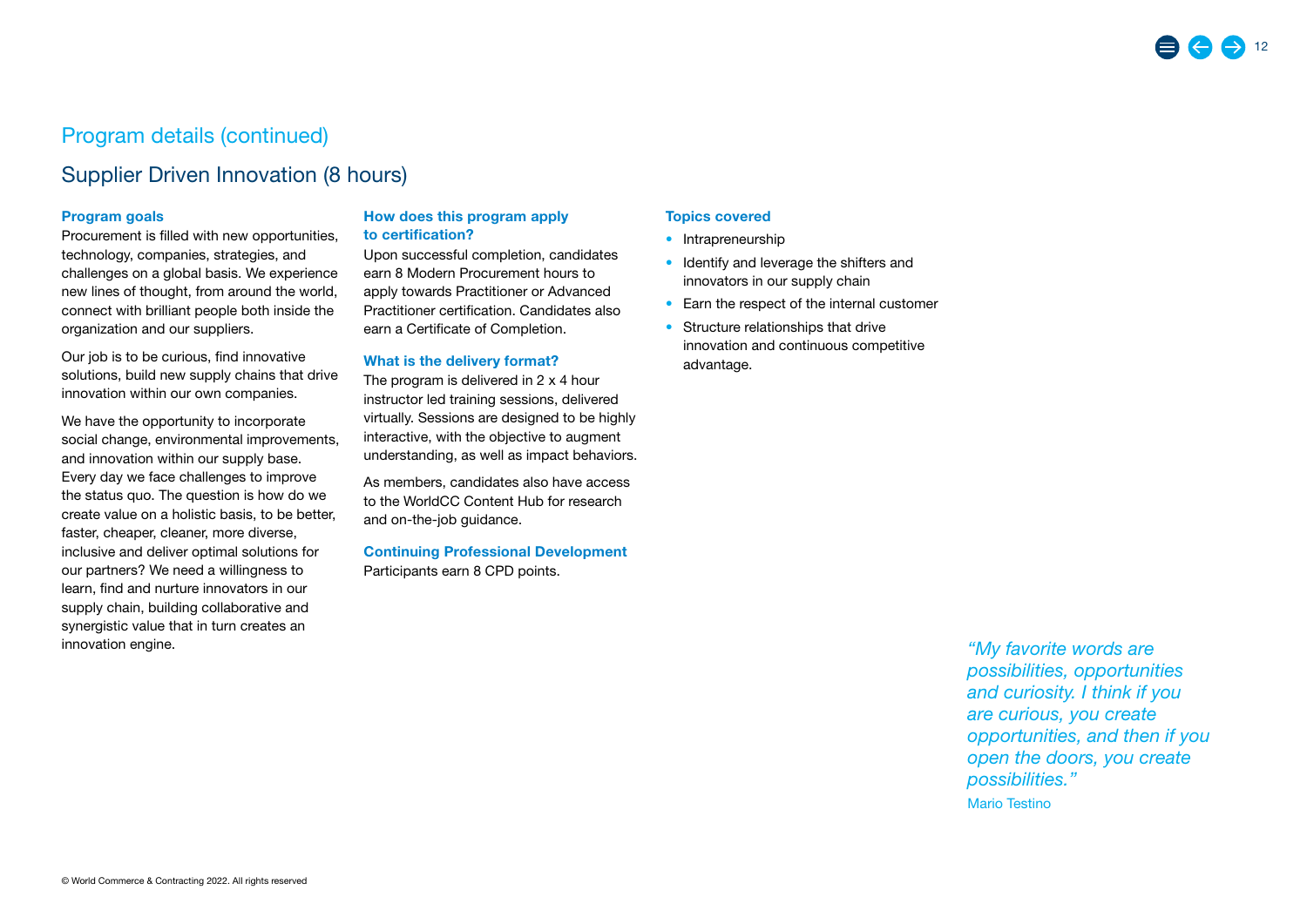## Supplier Driven Innovation (8 hours)

#### Program goals

Procurement is filled with new opportunities, technology, companies, strategies, and challenges on a global basis. We experience new lines of thought, from around the world, connect with brilliant people both inside the organization and our suppliers.

Our job is to be curious, find innovative solutions, build new supply chains that drive innovation within our own companies.

We have the opportunity to incorporate social change, environmental improvements, and innovation within our supply base. Every day we face challenges to improve the status quo. The question is how do we create value on a holistic basis, to be better, faster, cheaper, cleaner, more diverse, inclusive and deliver optimal solutions for our partners? We need a willingness to learn, find and nurture innovators in our supply chain, building collaborative and synergistic value that in turn creates an innovation engine.

#### How does this program apply to certification?

Upon successful completion, candidates earn 8 Modern Procurement hours to apply towards Practitioner or Advanced Practitioner certification. Candidates also earn a Certificate of Completion.

#### What is the delivery format?

The program is delivered in 2 x 4 hour instructor led training sessions, delivered virtually. Sessions are designed to be highly interactive, with the objective to augment understanding, as well as impact behaviors.

As members, candidates also have access to the WorldCC Content Hub for research and on-the-job guidance.

Continuing Professional Development Participants earn 8 CPD points.

#### Topics covered

- Intrapreneurship
- Identify and leverage the shifters and innovators in our supply chain
- Earn the respect of the internal customer
- Structure relationships that drive innovation and continuous competitive advantage.

*"My favorite words are possibilities, opportunities and curiosity. I think if you are curious, you create opportunities, and then if you open the doors, you create possibilities."* Mario Testino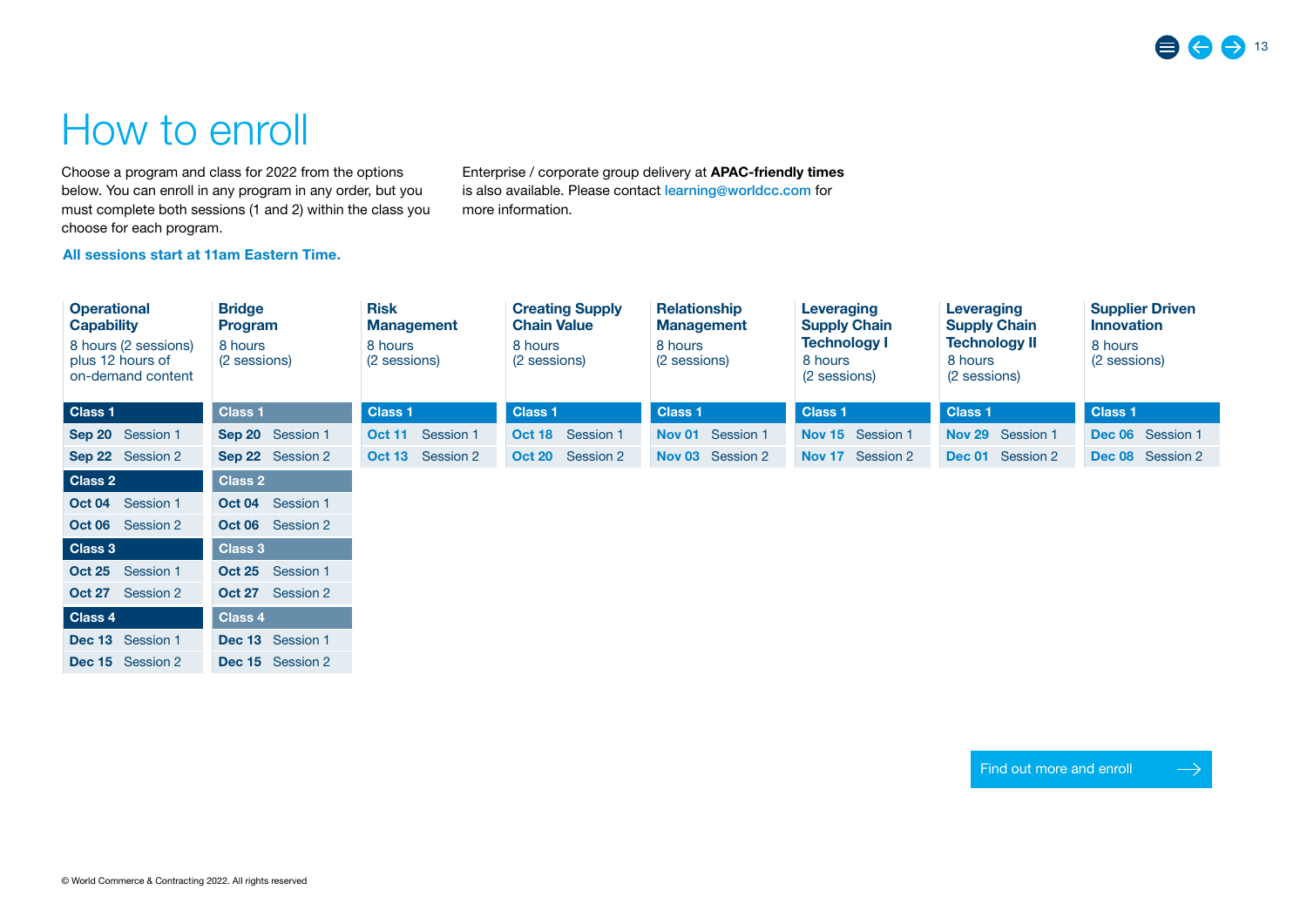## <span id="page-12-0"></span>How to enroll

Choose a program and class for 2022 from the options below. You can enroll in any program in any order, but you must complete both sessions (1 and 2) within the class you choose for each program.

Enterprise / corporate group delivery at APAC-friendly times is also available. Please contact [learning@worldcc.com](mailto:learning%40worldcc.com?subject=Modern%20Procurement%20program) for more information.

#### All sessions start at 11am Eastern Time.

| <b>Operational</b><br><b>Capability</b><br>8 hours (2 sessions)<br>plus 12 hours of<br>on-demand content | <b>Bridge</b><br><b>Program</b><br>8 hours<br>(2 sessions) | <b>Risk</b><br><b>Management</b><br>8 hours<br>(2 sessions) | <b>Creating Supply</b><br><b>Chain Value</b><br>8 hours<br>(2 sessions) | <b>Relationship</b><br><b>Management</b><br>8 hours<br>(2 sessions) | Leveraging<br><b>Supply Chain</b><br><b>Technology I</b><br>8 hours<br>(2 sessions) | Leveraging<br><b>Supply Chain</b><br><b>Technology II</b><br>8 hours<br>(2 sessions) | <b>Supplier Driven</b><br><b>Innovation</b><br>8 hours<br>(2 sessions) |
|----------------------------------------------------------------------------------------------------------|------------------------------------------------------------|-------------------------------------------------------------|-------------------------------------------------------------------------|---------------------------------------------------------------------|-------------------------------------------------------------------------------------|--------------------------------------------------------------------------------------|------------------------------------------------------------------------|
| Class 1                                                                                                  | <b>Class 1</b>                                             | <b>Class 1</b>                                              | <b>Class 1</b>                                                          | <b>Class 1</b>                                                      | <b>Class 1</b>                                                                      | <b>Class 1</b>                                                                       | <b>Class 1</b>                                                         |
| Sep 20 Session 1                                                                                         | Sep 20 Session 1                                           | Session 1<br><b>Oct 11</b>                                  | Session 1<br><b>Oct 18</b>                                              | Nov 01 Session 1                                                    | Nov 15 Session 1                                                                    | Nov 29 Session 1                                                                     | Dec 06 Session 1                                                       |
| Sep 22 Session 2                                                                                         | Sep 22 Session 2                                           | Session 2<br><b>Oct 13</b>                                  | Session 2<br><b>Oct 20</b>                                              | Nov 03 Session 2                                                    | Nov 17 Session 2                                                                    | Dec 01 Session 2                                                                     | <b>Dec 08</b> Session 2                                                |
| Class 2                                                                                                  | <b>Class 2</b>                                             |                                                             |                                                                         |                                                                     |                                                                                     |                                                                                      |                                                                        |
| <b>Oct 04</b> Session 1                                                                                  | Oct 04 Session 1                                           |                                                             |                                                                         |                                                                     |                                                                                     |                                                                                      |                                                                        |
| <b>Oct 06</b> Session 2                                                                                  | <b>Oct 06</b> Session 2                                    |                                                             |                                                                         |                                                                     |                                                                                     |                                                                                      |                                                                        |
| Class 3                                                                                                  | <b>Class 3</b>                                             |                                                             |                                                                         |                                                                     |                                                                                     |                                                                                      |                                                                        |
| Oct 25 Session 1                                                                                         | Oct 25 Session 1                                           |                                                             |                                                                         |                                                                     |                                                                                     |                                                                                      |                                                                        |
| <b>Oct 27</b> Session 2                                                                                  | <b>Oct 27</b> Session 2                                    |                                                             |                                                                         |                                                                     |                                                                                     |                                                                                      |                                                                        |
| Class 4                                                                                                  | <b>Class 4</b>                                             |                                                             |                                                                         |                                                                     |                                                                                     |                                                                                      |                                                                        |
| Dec 13 Session 1                                                                                         | Dec 13 Session 1                                           |                                                             |                                                                         |                                                                     |                                                                                     |                                                                                      |                                                                        |
| <b>Dec 15</b> Session 2                                                                                  | <b>Dec 15</b> Session 2                                    |                                                             |                                                                         |                                                                     |                                                                                     |                                                                                      |                                                                        |

[Find out more and enroll](https://www.worldcc.com/Learn/Professional-Certification/Modern-Procurement)

 $\rightarrow$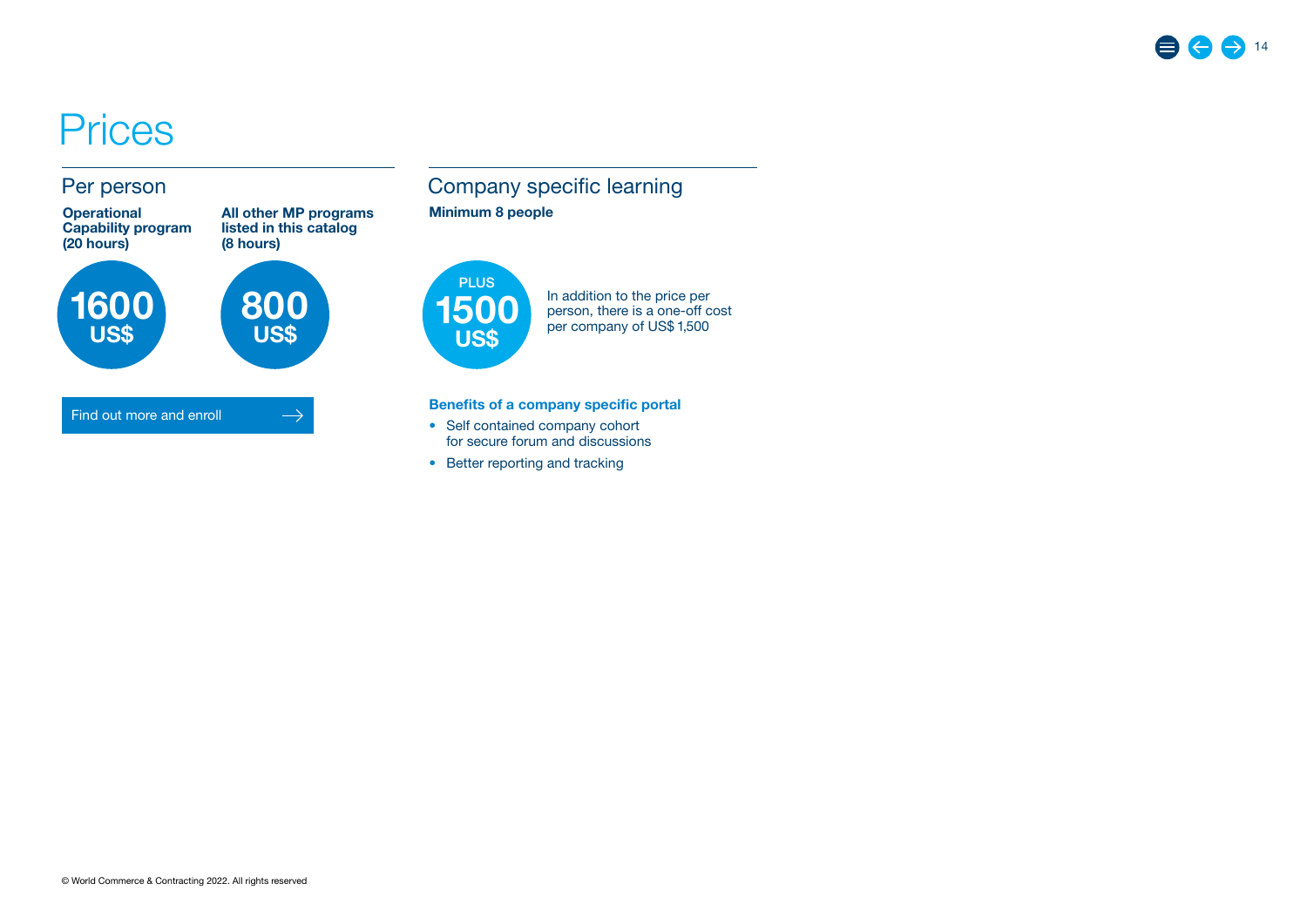## <span id="page-13-0"></span>**Prices**

### Per person



1600 US\$

All other MP programs listed in this catalog (8 hours)



 $\rightarrow$ 

#### [Find out more and enroll](https://www.worldcc.com/Learn/Professional-Certification/Modern-Procurement)



1500 US\$ **PLUS** 

In addition to the price per person, there is a one-off cost per company of US\$ 1,500

#### Benefits of a company specific portal

- Self contained company cohort for secure forum and discussions
- Better reporting and tracking